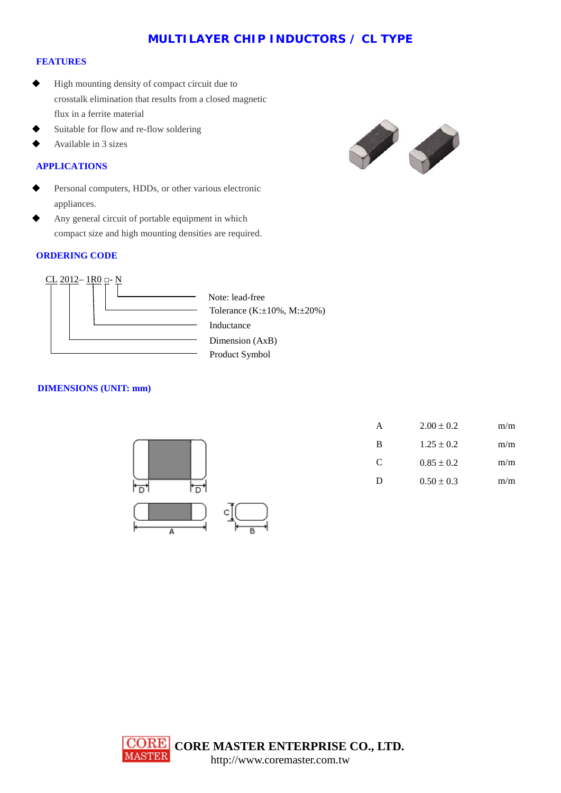# **MULTILAYER CHIP INDUCTORS / CL TYPE**

#### **FEATURES**

- High mounting density of compact circuit due to crosstalk elimination that results from a closed magnetic flux in a ferrite material
- Suitable for flow and re-flow soldering
- Available in 3 sizes

### **APPLICATIONS**

- Personal computers, HDDs, or other various electronic appliances.
- Any general circuit of portable equipment in which compact size and high mounting densities are required.

#### **ORDERING CODE**





Product Symbol Inductance Dimension (AxB) Tolerance (K:±10%, M:±20%) Note: lead-free

## **DIMENSIONS (UNIT: mm)**



| m/m | $2.00 \pm 0.2$ | A |
|-----|----------------|---|
| m/m | $1.25 \pm 0.2$ | B |
| m/m | $0.85 \pm 0.2$ | C |
| m/m | $0.50 \pm 0.3$ | D |